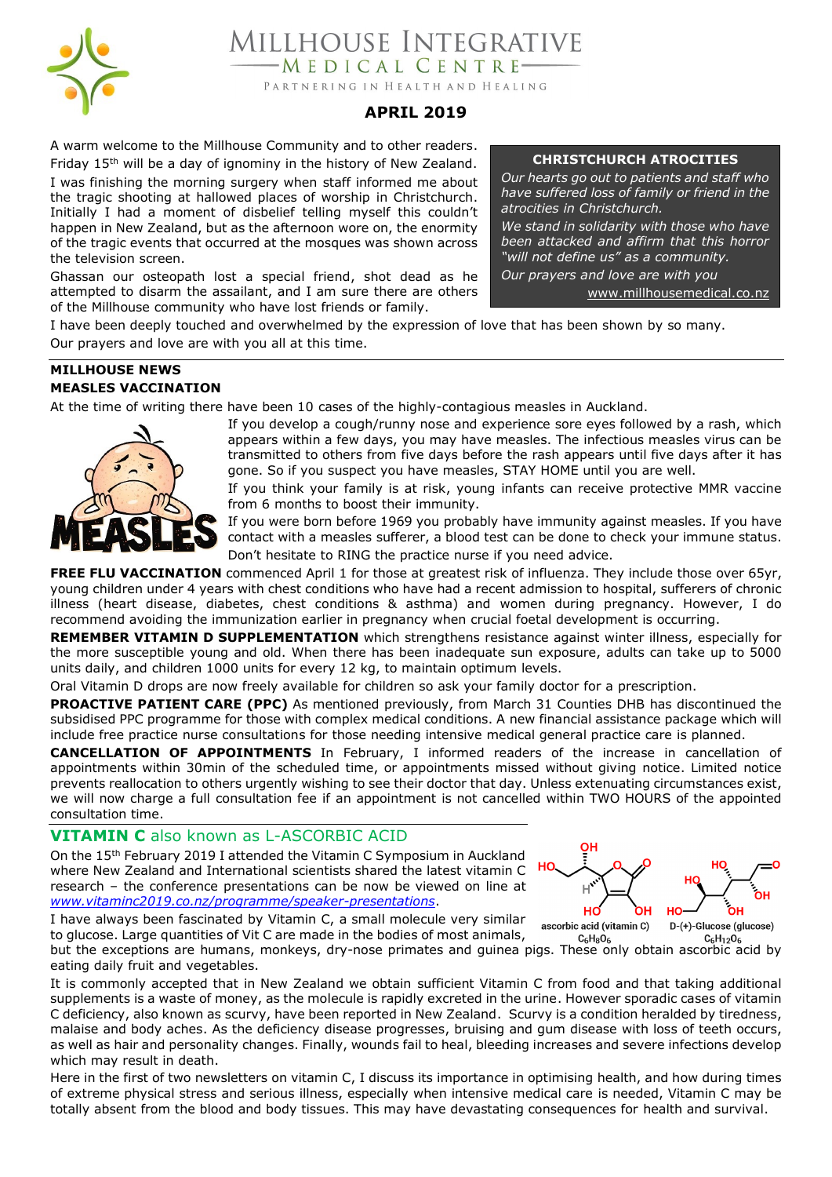

**AILLHOUSE INTEGRATIVE** MEDICAL CENTRE-PARTNERING IN HEALTH AND HEALING

# **APRIL 2019**

A warm welcome to the Millhouse Community and to other readers. Friday 15<sup>th</sup> will be a day of ignominy in the history of New Zealand. I was finishing the morning surgery when staff informed me about the tragic shooting at hallowed places of worship in Christchurch. Initially I had a moment of disbelief telling myself this couldn't happen in New Zealand, but as the afternoon wore on, the enormity of the tragic events that occurred at the mosques was shown across the television screen.

Ghassan our osteopath lost a special friend, shot dead as he attempted to disarm the assailant, and I am sure there are others of the Millhouse community who have lost friends or family.

### **CHRISTCHURCH ATROCITIES**

*Our hearts go out to patients and staff who have suffered loss of family or friend in the atrocities in Christchurch.*

*We stand in solidarity with those who have been attacked and affirm that this horror "will not define us" as a community.*

*Our prayers and love are with you*

[www.millhousemedical.co.nz](http://www.millhousemedical.co.nz/) 

I have been deeply touched and overwhelmed by the expression of love that has been shown by so many. Our prayers and love are with you all at this time.

## **MILLHOUSE NEWS MEASLES VACCINATION**

At the time of writing there have been 10 cases of the highly-contagious measles in Auckland.



If you develop a cough/runny nose and experience sore eyes followed by a rash, which appears within a few days, you may have measles. The infectious measles virus can be transmitted to others from five days before the rash appears until five days after it has gone. So if you suspect you have measles, STAY HOME until you are well.

If you think your family is at risk, young infants can receive protective MMR vaccine from 6 months to boost their immunity.

If you were born before 1969 you probably have immunity against measles. If you have contact with a measles sufferer, a blood test can be done to check your immune status. Don't hesitate to RING the practice nurse if you need advice.

**FREE FLU VACCINATION** commenced April 1 for those at greatest risk of influenza. They include those over 65yr, young children under 4 years with chest conditions who have had a recent admission to hospital, sufferers of chronic illness (heart disease, diabetes, chest conditions & asthma) and women during pregnancy. However, I do recommend avoiding the immunization earlier in pregnancy when crucial foetal development is occurring.

**REMEMBER VITAMIN D SUPPLEMENTATION** which strengthens resistance against winter illness, especially for the more susceptible young and old. When there has been inadequate sun exposure, adults can take up to 5000 units daily, and children 1000 units for every 12 kg, to maintain optimum levels.

Oral Vitamin D drops are now freely available for children so ask your family doctor for a prescription.

**PROACTIVE PATIENT CARE (PPC)** As mentioned previously, from March 31 Counties DHB has discontinued the subsidised PPC programme for those with complex medical conditions. A new financial assistance package which will include free practice nurse consultations for those needing intensive medical general practice care is planned.

**CANCELLATION OF APPOINTMENTS** In February, I informed readers of the increase in cancellation of appointments within 30min of the scheduled time, or appointments missed without giving notice. Limited notice prevents reallocation to others urgently wishing to see their doctor that day. Unless extenuating circumstances exist, we will now charge a full consultation fee if an appointment is not cancelled within TWO HOURS of the appointed consultation time.

# **VITAMIN C** also known as L-ASCORBIC ACID

On the 15th February 2019 I attended the Vitamin C Symposium in Auckland where New Zealand and International scientists shared the latest vitamin C research – the conference presentations can be now be viewed on line at *<www.vitaminc2019.co.nz/programme/speaker-presentations>*.



I have always been fascinated by Vitamin C, a small molecule very similar to glucose. Large quantities of Vit C are made in the bodies of most animals,

 $C_6H_{12}O_6$  $C_6H_8O_6$ but the exceptions are humans, monkeys, dry-nose primates and guinea pigs. These only obtain ascorbic acid by eating daily fruit and vegetables.

It is commonly accepted that in New Zealand we obtain sufficient Vitamin C from food and that taking additional supplements is a waste of money, as the molecule is rapidly excreted in the urine. However sporadic cases of vitamin C deficiency, also known as scurvy, have been reported in New Zealand. Scurvy is a condition heralded by tiredness, malaise and body aches. As the deficiency disease progresses, bruising and gum disease with loss of teeth occurs, as well as hair and personality changes. Finally, wounds fail to heal, bleeding increases and severe infections develop which may result in death.

Here in the first of two newsletters on vitamin C, I discuss its importance in optimising health, and how during times of extreme physical stress and serious illness, especially when intensive medical care is needed, Vitamin C may be totally absent from the blood and body tissues. This may have devastating consequences for health and survival.